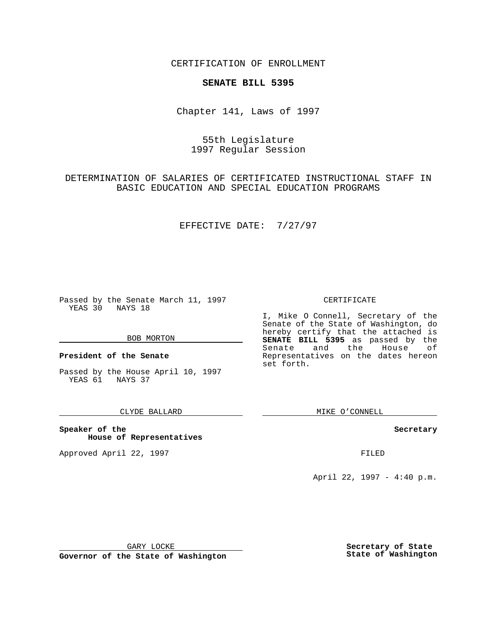CERTIFICATION OF ENROLLMENT

# **SENATE BILL 5395**

Chapter 141, Laws of 1997

# 55th Legislature 1997 Regular Session

DETERMINATION OF SALARIES OF CERTIFICATED INSTRUCTIONAL STAFF IN BASIC EDUCATION AND SPECIAL EDUCATION PROGRAMS

## EFFECTIVE DATE: 7/27/97

Passed by the Senate March 11, 1997 YEAS 30 NAYS 18

#### BOB MORTON

**President of the Senate**

Passed by the House April 10, 1997 YEAS 61 NAYS 37

## CLYDE BALLARD

**Speaker of the House of Representatives**

Approved April 22, 1997 **FILED** 

### CERTIFICATE

I, Mike O Connell, Secretary of the Senate of the State of Washington, do hereby certify that the attached is **SENATE BILL 5395** as passed by the Senate and the House of Representatives on the dates hereon set forth.

MIKE O'CONNELL

#### **Secretary**

April 22, 1997 - 4:40 p.m.

GARY LOCKE

**Governor of the State of Washington**

**Secretary of State State of Washington**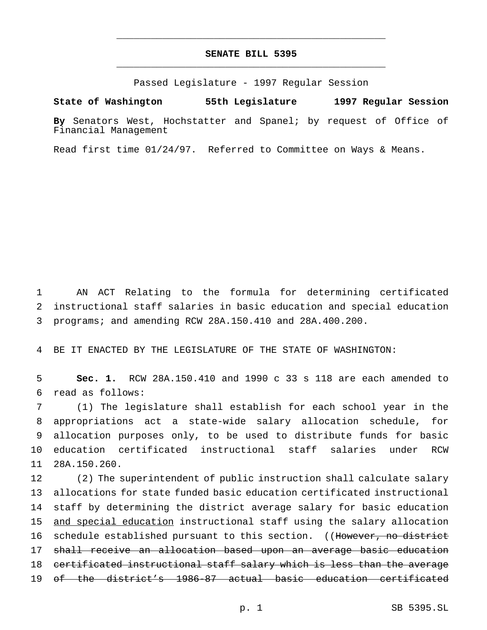# **SENATE BILL 5395** \_\_\_\_\_\_\_\_\_\_\_\_\_\_\_\_\_\_\_\_\_\_\_\_\_\_\_\_\_\_\_\_\_\_\_\_\_\_\_\_\_\_\_\_\_\_\_

\_\_\_\_\_\_\_\_\_\_\_\_\_\_\_\_\_\_\_\_\_\_\_\_\_\_\_\_\_\_\_\_\_\_\_\_\_\_\_\_\_\_\_\_\_\_\_

Passed Legislature - 1997 Regular Session

### **State of Washington 55th Legislature 1997 Regular Session**

**By** Senators West, Hochstatter and Spanel; by request of Office of Financial Management

Read first time 01/24/97. Referred to Committee on Ways & Means.

1 AN ACT Relating to the formula for determining certificated 2 instructional staff salaries in basic education and special education 3 programs; and amending RCW 28A.150.410 and 28A.400.200.

4 BE IT ENACTED BY THE LEGISLATURE OF THE STATE OF WASHINGTON:

5 **Sec. 1.** RCW 28A.150.410 and 1990 c 33 s 118 are each amended to 6 read as follows:

 (1) The legislature shall establish for each school year in the appropriations act a state-wide salary allocation schedule, for allocation purposes only, to be used to distribute funds for basic education certificated instructional staff salaries under RCW 28A.150.260.

 (2) The superintendent of public instruction shall calculate salary allocations for state funded basic education certificated instructional staff by determining the district average salary for basic education 15 and special education instructional staff using the salary allocation 16 schedule established pursuant to this section. ((However, no district shall receive an allocation based upon an average basic education 18 certificated instructional staff salary which is less than the average of the district's 1986-87 actual basic education certificated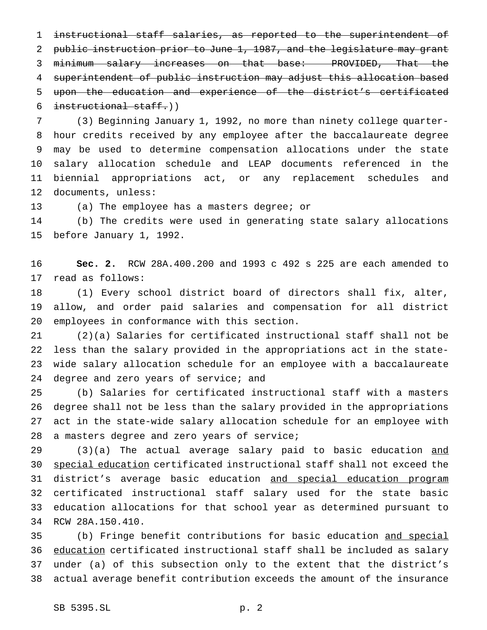instructional staff salaries, as reported to the superintendent of public instruction prior to June 1, 1987, and the legislature may grant minimum salary increases on that base: PROVIDED, That the superintendent of public instruction may adjust this allocation based upon the education and experience of the district's certificated  $intertional staff.)$ 

 (3) Beginning January 1, 1992, no more than ninety college quarter- hour credits received by any employee after the baccalaureate degree may be used to determine compensation allocations under the state salary allocation schedule and LEAP documents referenced in the biennial appropriations act, or any replacement schedules and documents, unless:

(a) The employee has a masters degree; or

 (b) The credits were used in generating state salary allocations before January 1, 1992.

 **Sec. 2.** RCW 28A.400.200 and 1993 c 492 s 225 are each amended to read as follows:

 (1) Every school district board of directors shall fix, alter, allow, and order paid salaries and compensation for all district employees in conformance with this section.

 (2)(a) Salaries for certificated instructional staff shall not be less than the salary provided in the appropriations act in the state- wide salary allocation schedule for an employee with a baccalaureate 24 degree and zero years of service; and

 (b) Salaries for certificated instructional staff with a masters degree shall not be less than the salary provided in the appropriations act in the state-wide salary allocation schedule for an employee with a masters degree and zero years of service;

29 (3)(a) The actual average salary paid to basic education and special education certificated instructional staff shall not exceed the 31 district's average basic education and special education program certificated instructional staff salary used for the state basic education allocations for that school year as determined pursuant to RCW 28A.150.410.

 (b) Fringe benefit contributions for basic education and special 36 education certificated instructional staff shall be included as salary under (a) of this subsection only to the extent that the district's actual average benefit contribution exceeds the amount of the insurance